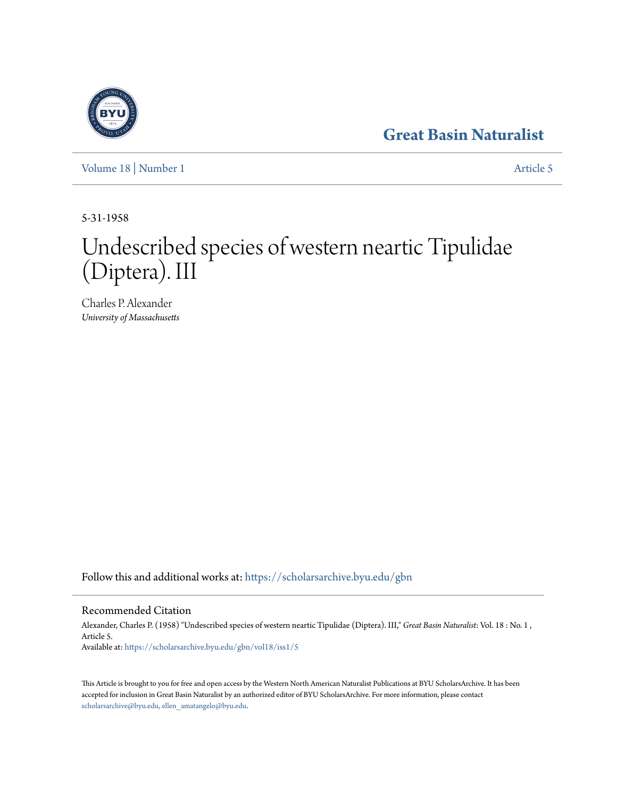## **[Great Basin Naturalist](https://scholarsarchive.byu.edu/gbn?utm_source=scholarsarchive.byu.edu%2Fgbn%2Fvol18%2Fiss1%2F5&utm_medium=PDF&utm_campaign=PDFCoverPages)**



[Volume 18](https://scholarsarchive.byu.edu/gbn/vol18?utm_source=scholarsarchive.byu.edu%2Fgbn%2Fvol18%2Fiss1%2F5&utm_medium=PDF&utm_campaign=PDFCoverPages) | [Number 1](https://scholarsarchive.byu.edu/gbn/vol18/iss1?utm_source=scholarsarchive.byu.edu%2Fgbn%2Fvol18%2Fiss1%2F5&utm_medium=PDF&utm_campaign=PDFCoverPages) [Article 5](https://scholarsarchive.byu.edu/gbn/vol18/iss1/5?utm_source=scholarsarchive.byu.edu%2Fgbn%2Fvol18%2Fiss1%2F5&utm_medium=PDF&utm_campaign=PDFCoverPages)

5-31-1958

# Undescribed species of western neartic Tipulidae (Diptera). III

Charles P. Alexander *University of Massachusetts*

Follow this and additional works at: [https://scholarsarchive.byu.edu/gbn](https://scholarsarchive.byu.edu/gbn?utm_source=scholarsarchive.byu.edu%2Fgbn%2Fvol18%2Fiss1%2F5&utm_medium=PDF&utm_campaign=PDFCoverPages)

## Recommended Citation

Alexander, Charles P. (1958) "Undescribed species of western neartic Tipulidae (Diptera). III," *Great Basin Naturalist*: Vol. 18 : No. 1 , Article 5. Available at: [https://scholarsarchive.byu.edu/gbn/vol18/iss1/5](https://scholarsarchive.byu.edu/gbn/vol18/iss1/5?utm_source=scholarsarchive.byu.edu%2Fgbn%2Fvol18%2Fiss1%2F5&utm_medium=PDF&utm_campaign=PDFCoverPages)

This Article is brought to you for free and open access by the Western North American Naturalist Publications at BYU ScholarsArchive. It has been accepted for inclusion in Great Basin Naturalist by an authorized editor of BYU ScholarsArchive. For more information, please contact [scholarsarchive@byu.edu, ellen\\_amatangelo@byu.edu.](mailto:scholarsarchive@byu.edu,%20ellen_amatangelo@byu.edu)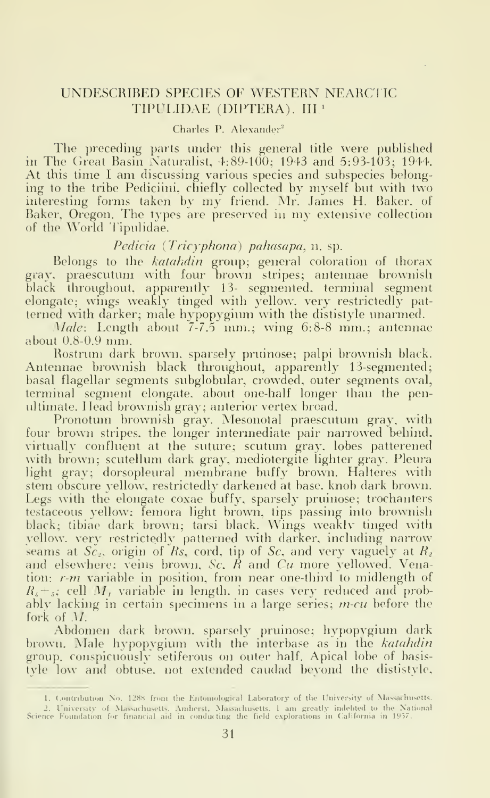### UNDE8CRIBED SPECIES OE WESTERN NEARCI IC TIPULIDAE (DIPTERA). III.<sup>1</sup>

#### Charles P. Alexander<sup>2</sup>

The preceding parts under this general title were published in The Great Basin Naturalist, 4:89-100; 1943 and 5:93-103; 1944. At this time <sup>I</sup> am discussing various species and subspecies belonging to the tribe Pediciini, chiefly collected by myself but with two interesting forms taken by my friend. Mr. James H. Baker, of Baker, Oregon. The types are preserved in my extensive collection of the World Tipulidae.

#### Pedicia (Tricyphona) pahasapa, n. sp.

Belongs to the katahdin group; general coloration of thorax gray, praescutum with four brown stripes; antennae brownish black throughout, apparently 13- segmented, terminal segment – – elongate; wings weakly tinged with yellow, very restrictedly patterned with darker; male hypopygium with the dististyle unarmed.

*Male*: Length about  $7-7.5$  mm.; wing  $6.8-8$  mm.; antennae about 0.8-0.9 mm.

Rostrum dark brown, sparsely pruinose; palpi brownish black. Antennae brownish black throughout, apparently 13-segmented; basal flagellar segments subglobular, crowded, outer segments oval, terminal segment elongate, about one-half longer than the penultimate. Head brownish gray; anterior vertex broad.

Pronotum brownish gray. Mesonotal praescutum gray, with four brown stripes, the longer intermediate pair narrowed behind, virtually confluent at the suture; scutum gray, lobes patterened with brown; scutellum dark gray, mediotergite lighter gray. Pleura light gray; dorsopleural membrane buffy brown. Halteres with stem obscure yellow, restrictedly darkened at base, knob dark brown. Legs with the elongate coxae buffy. sparsely pruinose; trochanters testaceous yellow; femora light brown, tips passing into brownish black; tibiae dark brown; tarsi black. Wings weaklv tinged with yellow, very restrictedly patterned with darker, including narrow seams at  $Sc<sub>2</sub>$ , origin of Rs, cord, tip of Sc, and very vaguely at  $R<sub>2</sub>$ . and elsewhere; veins brown, Sc.  $\vec{R}$  and  $Cu$  more yellowed. Venation: r-m variable in position, from near one-third to midlength of  $R<sub>s</sub> +<sub>s</sub>$ ; cell M, variable in length, in cases very reduced and probably lacking in certain specimens in a large series;  $m$ -cu before the fork of M.

Abdomen dark brown, sparsely pruinose; hypopygium dark – – brown. Male hypopygium with the interbase as in the *katahdin* group, conspicuously setiferous on outer half. Apical lobe of basis tyle low and obtuse, not extended caudad beyond the dististyle,

<sup>1.</sup> Contribution No. 1288 from the Entomological Laboratory of the University of Massachusetts. 2. University of Massachusetts, Amherst, Massachusetts. I am greatly indebted to the National Science Foundation for financial aid in conducting the field explorations in California in 1957.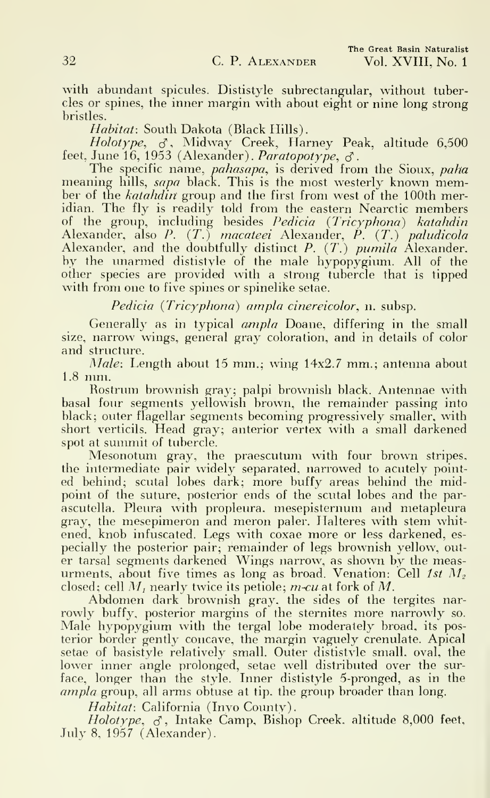with abundant spicules. Dististyle subrectangular, without tubercles or spines, the inner margin with about eight or nine long strong bristles.

Habitat: South Dakota (Black Hills).

*Holotype*,  $\sigma$ , Midway Creek, Harney Peak, altitude 6,500 feet, June 16, 1953 (Alexander). *Paratopotype*,  $\sigma$ .

The specific name, *pahasapa*, is derived from the Sioux, paha meaning hills, *sapa* black. This is the most westerly known member of the *katahdin* group and the first from west of the 100th meridian. The fly is readily told from the eastern Nearctic members of the group, including besides Pedicia {Tricyphona) katahdin Alexander, also P. (T.) macateei Alexander, P. (T.) paludicola Alexander, and the doubtfully distinct P. (T.) pumila Alexander, by the unarmed dististyle of the male hypopygium. All of the other species are provided with a strong tubercle that is tipped with from one to five spines or spinelike setae.

Pedicia (Tricyphona) ampla cinereicolor, n. subsp.

Generally as in typical ampla Doane, differing in the small size, narrow wings, general gray coloration, and in details of color and structure.

Male: Length about 15 mm.; wing 14x2.7 mm.; antenna about 1.8 mm.

Rostrum brownish gray; palpi brownish black. Antennae with basal four segments yellowish brown, the remainder passing into black; outer flagellar segments becoming progressively smaller, with short verticils. Head gray; anterior vertex with a small darkened spot at summit of tubercle.

Mesonotum gray, the praescutum with four brown stripes, the intermediate pair widely separated, narrowed to acutely pointed behind; scutal lobes dark; more huffy areas behind the midpoint of the suture, posterior ends of the scutal lobes and the parascutella. Pleura with propleura. mesepisternum and metapleura gray, the mesepimeron and meron paler. Halteres with stem whitened, knob infuscated. Legs with coxae more or less darkened, es pecially the posterior pair; remainder of legs brownish yellow, out er tarsal segments darkened Wings narrow, as shown by the measurments, about five times as long as broad. Venation: Cell 1st  $M_z$ closed; cell  $M_t$  nearly twice its petiole; m-cu at fork of M.

Abdomen dark brownish gray, the sides of the tergites nar rowly huffy, posterior margins of the sternites more narrowly so. Male hypopygium with the tergal lobe moderately broad, its posterior border gently concave, the margin vaguely crenulate. Apical setae of basistyle relatively small. Outer dististyle small, oval, the lower inner angle prolonged, setae well distributed over the surface, longer than the style. Inner dististyle 5-pronged, as in the ampla group, all arms obtuse at tip. the group broader than long.

Habitat: California (Invo County).

Holotype,  $\sigma$ , Intake Camp, Bishop Creek, altitude 8,000 feet, July 8, 1957 (Alexander).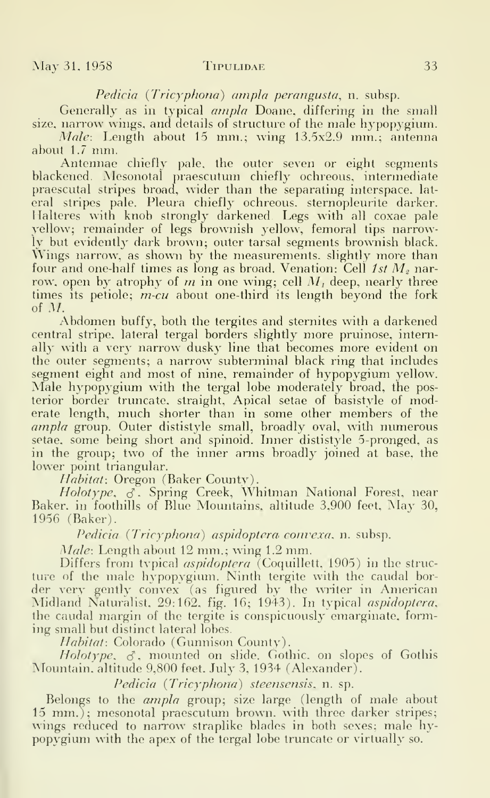Pedicia (Tricyphona) ampla perangusta, n. subsp.

Generally as in typical ampla Doane, differing in the small size, narrow wings, and details of structure of the male hypopygium. Male: Length about 15 mm.; wing 13.5x2.9 mm.; antenna

about 1.7 mm.

Antennae chiefly pale, the outer seven or eight segments blackened. Mesonotal praescutum chiefly ochreous, intermediate praescutal stripes broad, wider than the separating interspace, lat eral stripes pale. Pleura chiefly ochreous. sternopleurite darker. Halteres with knob strongly darkened. Legs with all coxae pale yellow; remainder of legs brownish yellow, femoral tips narrowly but evidently dark brown; outer tarsal segments brownish black. Wings narrow, as shown by the measurements, slightly more than four and one-half times as long as broad. Venation: Cell  $1st M<sub>2</sub>$  narrow, open by atrophy of m in one wing; cell  $M_i$  deep, nearly three times its petiole; *m-cu* about one-third its length beyond the fork of M.

Abdomen huffy, both the tergites and sternites with <sup>a</sup> darkened central stripe, lateral tergal borders slightly more pruinose, internally with a very narrow dusky line that becomes more evident on the outer segments; a narrow subterminal black ring that includes segment eight and most of nine, remainder of hypopygium yellow. Male hypopygium with the tergal lobe moderately broad, the posterior border truncate, straight. Apical setae of basistyle of moderate length, much shorter than in some other members of the ampla group. Outer dististyle small, broadly oval, with numerous setae, some being short and spinoid. Inner dististyle 5-pronged, as in the group; two of the inner arms broadly joined at base, the lower point triangular.

Habitat: Oregon (Baker County).

 $Holotype, \>\>\> \epsilon$  Spring Creek, Whitman National Forest, near  $\>$ Baker, in foothills of Blue Mountains, altitude 3.900 feet. May 30, 1956 (Baker).

Pedicia (Tricyphona) aspidoptera convexa, n. subsp.

Male: Length about 12 mm.; wing 1.2 mm.

Differs from typical *aspidoptera* (Coquillett, 1905) in the structure of the male hypopygium. Ninth tergite with the caudal bor der very gently convex (as figured by the writer in American Midland Naturalist. 29:162. fig. 16; 1943). In typical aspidoptera, the caudal margin of the tergite is conspicuously emarginate, forming small but distinct lateral lobes.

Habitat: Colorado (Gunnison County).

Holotype,  $\sigma$ , mounted on slide. Gothic, on slopes of Gothis Mountain, altitude 9,800 feet. July 3, 1934 (Alexander).

Pedicia (Tricyphona) steensensis, n. sp.

Belongs to the ampla group; size large (length of male about  $15 \, \text{mm}$ ); mesonotal praescutum brown, with three darker stripes; wings reduced to narrow straplike blades in both sexes; male hypopygium with the apex of the tergal lobe truncate or virtually so.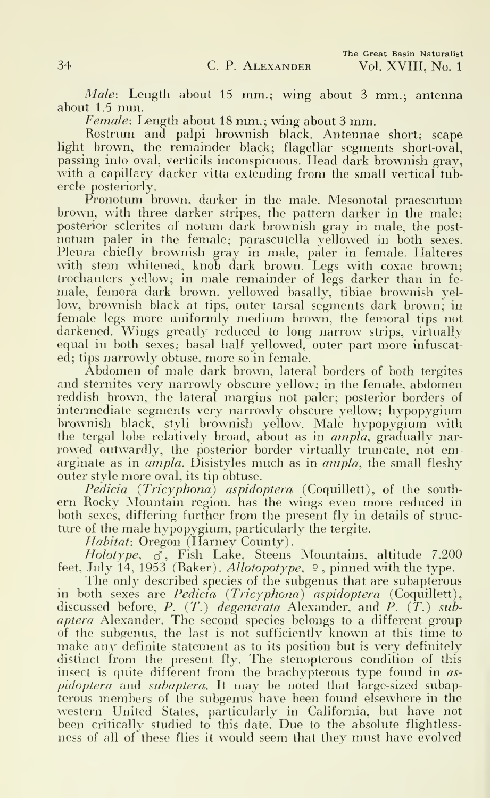Male: Length about 15 mm.; wing about 3 mm.; antenna about 1.5 mm.

Female: Length about <sup>18</sup> mm.; wing about <sup>3</sup> mm.

Rostrum and palpi brownish black. Antennae short; scape light brown, the remainder black; flagellar segments short-oval, passing into oval, verticils inconspicuous. Head dark brownish gray, with a capillary darker vitta extending from the small vertical tubercle posteriorly.

Pronotum brown, darker in the male. Mesonotal praescutum brown, with three darker stripes, the pattern darker in the male; posterior sclerites of notum dark brownish gray in male, the postnotum paler in the female; parascutella yellowed in both sexes. Pleura chiefly brownish gray in male, paler in female. Halteres with stem whitened, knob dark brown. Legs with coxae brown; trochanters yellow; in male remainder of legs darker than in fe male, femora dark brown, yellowed basally, tibiae brownish yellow, brownish black at tips, outer tarsal segments dark brown; in female legs more uniformly medium brown, the femoral tips not darkened. Wings greatly reduced to long narrow strips, virtually equal in both sexes; basal half yellowed, outer part more infuscated; tips narrowly obtuse, more so in female.

Abdomen of male dark brown, lateral borders of both tergites and sternites very narrowly obscure yellow; in the female, abdomen reddish brown, the lateral margins not paler; posterior borders of intermediate segments very narrowly obscure yellow; hypopygium brownish black, styli brownish yellow. Male hypopygium with the tergal lobe relatively broad, about as in *ampla*, gradually narrowed outwardly, the posterior border virtually truncate, not emarginate as in *ampla*. Disistyles much as in *ampla*, the small fleshy outer style more oval, its tip obtuse.

Pedicia (Tricyphona) aspidoptera (Coquillett), of the southern Rocky Mountain region, has the wings even more reduced in both sexes, differing further from the present fly in details of struc ture of the male hypopygium, particularly the tergite.

Habitat: Oregon (Harney County).

Holotype,  $\delta$ , Fish Lake, Steens Mountains, altitude 7.200 feet, July 14, 1953 (Baker). Allotopotype,  $\varphi$ , pinned with the type.

The only described species of the subgenus that are subapterous in both sexes are *Pedicia (Tricyphona) aspidoptera* (Coquillett), wh discussed before, *P. (T.) degenerata* Alexander, and *P. (T.) sub*aptera Alexander. The second species belongs to a different group of the subgenus, the last is not sufficiently known at this time to make any definite statement as to its position but is very definitely distinct from the present fly. The stenopterous condition of this insect is quite different from the brachypterous type found in *as*pidoptera and subaptera. It may be noted that large-sized subapterous members of the subgenus have been found elsewhere in the western United States, particularly in California, but have not been critically studied to this date. Due to the absolute flightless ness of all of these flies it would seem that they must have evolved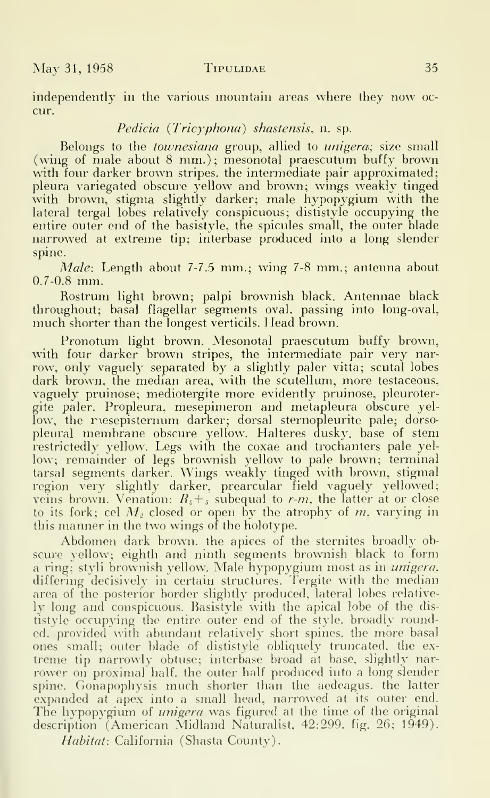independently in the various mountain areas where they now oc cur.

#### Pedicia (Tricyphona) shastensis, n. sp.

Belongs to the *townesiana* group, allied to *unigera*; size small (wing of male about 8 mm.); mesonotal praescutum buffy brown with four darker brown stripes, the intermediate pair approximated; pleura variegated obscure yellow and brown; wings weakly tinged with brown, stigma slightly darker; male hypopygium with the lateral tergal lobes relatively conspicuous; dististyle occupying the entire outer end of the basistyle, the spicules small, the outer blade narrowed at extreme tip; interbase produced into a long slender spine.

Male: Length about 7-7.5 mm.; wing 7-8 mm.; antenna about 0.7-0.8 mm.

Rostrum light brown; palpi brownish black. Antennae black throughout; basal flagellar segments oval, passing into long-oval, much shorter than the longest verticils. Head brown.

Pronotum light brown. Mesonotal praescutum buffy brown, with four darker brown stripes, the intermediate pair very narrow, only vaguely separated by a slightly paler vitta; scutal lobes dark brown, the median area, with the scutellum, more testaceous, vaguely pruinose; mediotergite more evidently pruinose, pleurotergite paler. Propleura, mesepimeron and metapleura obscure yellow, the resepisternum darker; dorsal sternopleurite pale; dorsopleural membrane obscure yellow. Halteres dusky, base of stem restrictedly yellow. Legs with the coxae and trochanters pale yellow; remainder of legs brownish yellow to pale brown; terminal tarsal segments darker. Wings weakly tinged with brown, stigmal region very slightly darker, prearcular field vaguely yellowed; veins brown. Venation:  $R_{\mu} + \epsilon$  subequal to r-m, the latter at or close to its fork; cel  $M<sub>2</sub>$  closed or open by the atrophy of m, varying in this manner in the two wings of the holotype.

Abdomen dark brown, the apices of the sternites broadly ob scure yellow; eighth and ninth segments brownish black to form a ring; styli brownish yellow. Male hypopygium most as in *unigera*, differing decisively in certain structures. Tergite with the median area of the posterior border slightly produced, lateral lobes relatively long and conspicuous. Basistyle with the apical lobe of the dis tistyle occupying the entire outer end of the style, broadly rounded, provided with abundant relatively short spines, the more basal ones small; outer blade of dististyle obliquely truncated, the ex treme tip narrowly obtuse; interbase broad at base, slightly narrower on proximal half, the outer half produced into a long slender spine. Gonapophysis much shorter than the aedeagus, the latter expanded at apex into a small head, narrowed at its outer end. The hypopygium of *unigera* was figured at the time of the original description' (American Midland Naturalist, 42:299, fig. 26; 1949).

Habitat: California (Shasta County).